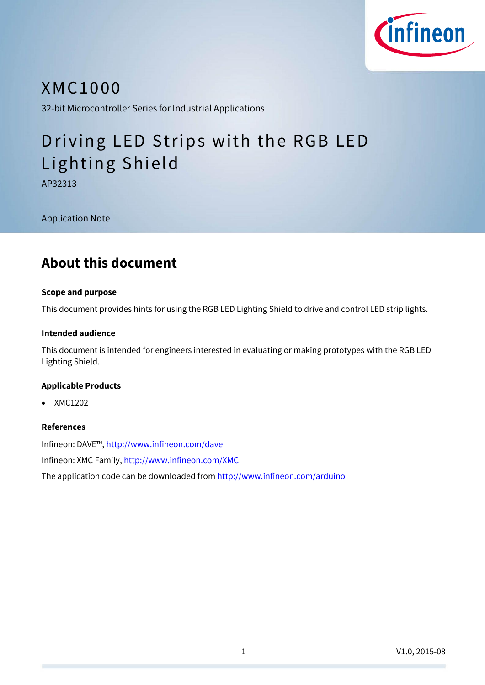

## XMC 1000

32-bit Microcontroller Series for Industrial Applications

# Driving LED Strips with the RGB LED Lighting Shield

AP32313

Application Note

## **About this document**

### **Scope and purpose**

This document provides hints for using the RGB LED Lighting Shield to drive and control LED strip lights.

### **Intended audience**

This document is intended for engineers interested in evaluating or making prototypes with the RGB LED Lighting Shield.

### **Applicable Products**

XMC1202

### **References**

Infineon: DAVE™, <http://www.infineon.com/dave> Infineon: XMC Family,<http://www.infineon.com/XMC>

The application code can be downloaded fro[m http://www.infineon.com/arduino](http://www.infineon.com/arduino)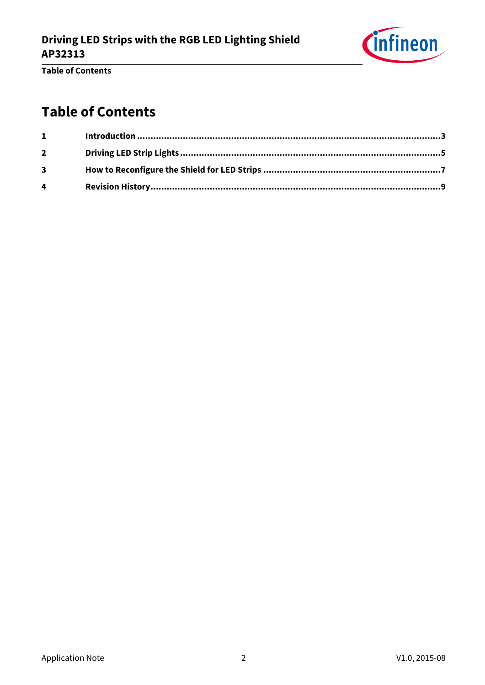

**Table of Contents**

## **Table of Contents**

| $1 \quad \blacksquare$  |  |
|-------------------------|--|
| $\mathbf{2}$            |  |
| $\overline{\mathbf{3}}$ |  |
| 4                       |  |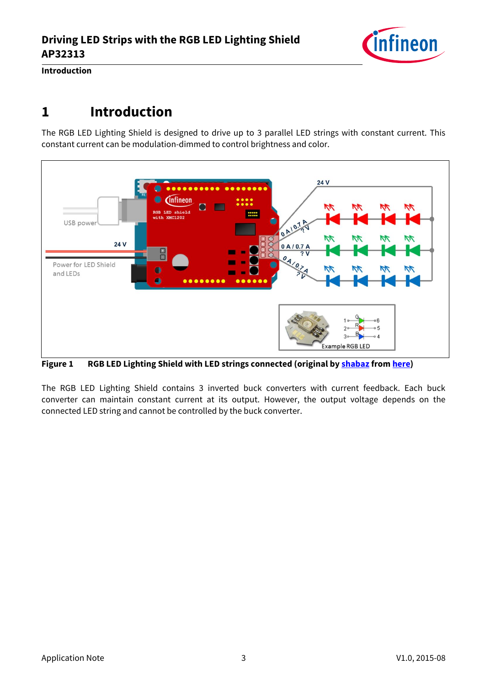

**Introduction**

## <span id="page-2-0"></span>**1 Introduction**

The RGB LED Lighting Shield is designed to drive up to 3 parallel LED strings with constant current. This constant current can be modulation-dimmed to control brightness and color.



**Figure 1 RGB LED Lighting Shield with LED strings connected (original b[y shabaz](http://www.element14.com/community/people/shabaz) from [here\)](http://www.element14.com/community/groups/arduino/blog/2014/12/17/rgb-led-shield-from-infineon--getting-started-guide)**

The RGB LED Lighting Shield contains 3 inverted buck converters with current feedback. Each buck converter can maintain constant current at its output. However, the output voltage depends on the connected LED string and cannot be controlled by the buck converter.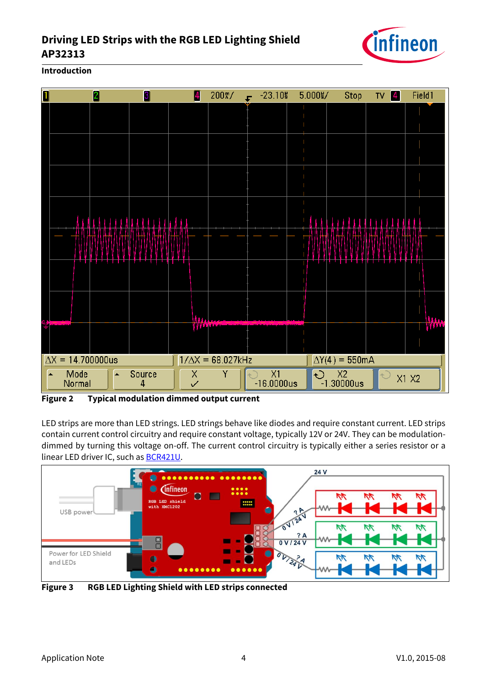### **Driving LED Strips with the RGB LED Lighting Shield AP32313**



**Introduction**



**Figure 2 Typical modulation dimmed output current**

LED strips are more than LED strings. LED strings behave like diodes and require constant current. LED strips contain current control circuitry and require constant voltage, typically 12V or 24V. They can be modulationdimmed by turning this voltage on-off. The current control circuitry is typically either a series resistor or a linear LED driver IC, such as **BCR421U**.



**Figure 3 RGB LED Lighting Shield with LED strips connected**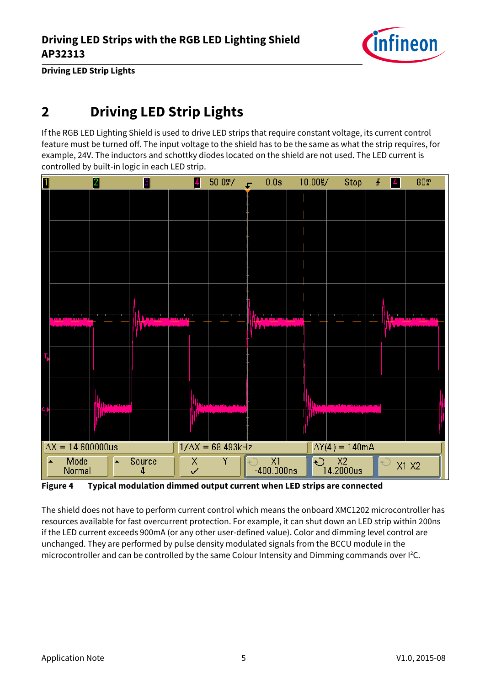

**Driving LED Strip Lights**

## <span id="page-4-0"></span>**2 Driving LED Strip Lights**

If the RGB LED Lighting Shield is used to drive LED strips that require constant voltage, its current control feature must be turned off. The input voltage to the shield has to be the same as what the strip requires, for example, 24V. The inductors and schottky diodes located on the shield are not used. The LED current is controlled by built-in logic in each LED strip.



**Figure 4 Typical modulation dimmed output current when LED strips are connected**

The shield does not have to perform current control which means the onboard XMC1202 microcontroller has resources available for fast overcurrent protection. For example, it can shut down an LED strip within 200ns if the LED current exceeds 900mA (or any other user-defined value). Color and dimming level control are unchanged. They are performed by pulse density modulated signals from the BCCU module in the microcontroller and can be controlled by the same Colour Intensity and Dimming commands over I<sup>2</sup>C.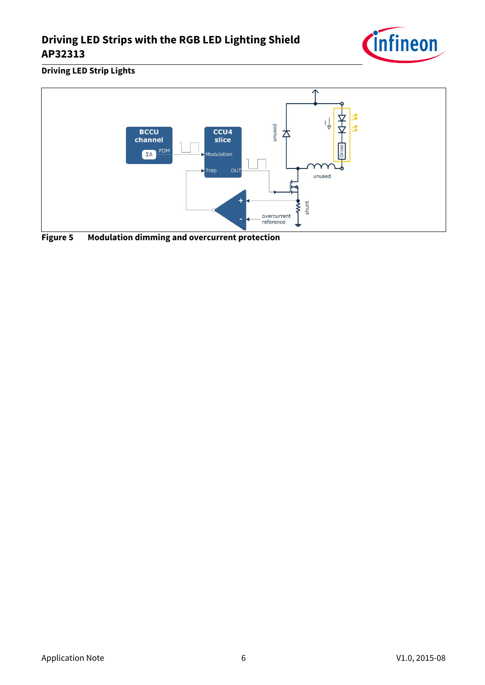### **Driving LED Strips with the RGB LED Lighting Shield AP32313**



**Driving LED Strip Lights**



**Figure 5 Modulation dimming and overcurrent protection**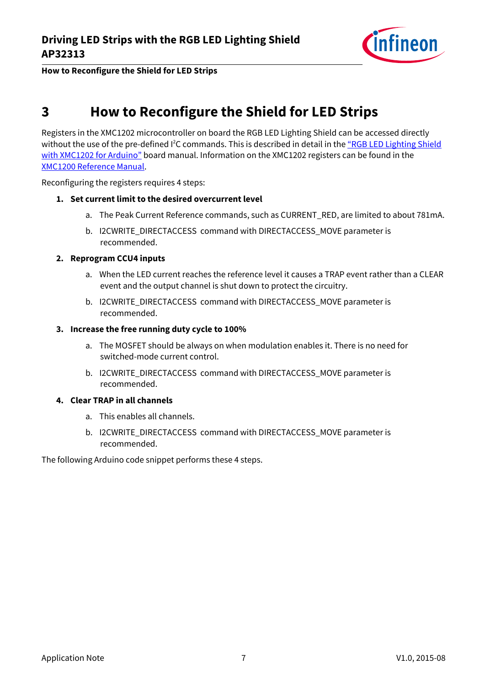

**How to Reconfigure the Shield for LED Strips**

## <span id="page-6-0"></span>**3 How to Reconfigure the Shield for LED Strips**

Registers in the XMC1202 microcontroller on board the RGB LED Lighting Shield can be accessed directly without the use of the pre-defined <sup>12</sup>C commands. This is described in detail in the "RGB LED Lighting Shield [with XMC1202 for Arduin](http://www.infineon.com/cms/en/product/evaluation-boards/KIT_LED_XMC1202_AS_01/evaluation-boards/KIT_LED_XMC1202_AS_01/productType.html?productType=5546d4624cb7f111014d046839d66d70&preview=true)o" board manual. Information on the XMC1202 registers can be found in the [XMC1200 Reference Manual.](http://www.infineon.com/cms/en/product/channel.html?channel=db3a30433c1a8752013c1aa35a6a0029&tab=2)

Reconfiguring the registers requires 4 steps:

### **1. Set current limit to the desired overcurrent level**

- a. The Peak Current Reference commands, such as CURRENT\_RED, are limited to about 781mA.
- b. I2CWRITE\_DIRECTACCESS command with DIRECTACCESS\_MOVE parameter is recommended.

### **2. Reprogram CCU4 inputs**

- a. When the LED current reaches the reference level it causes a TRAP event rather than a CLEAR event and the output channel is shut down to protect the circuitry.
- b. I2CWRITE\_DIRECTACCESS command with DIRECTACCESS\_MOVE parameter is recommended.

### **3. Increase the free running duty cycle to 100%**

- a. The MOSFET should be always on when modulation enables it. There is no need for switched-mode current control.
- b. I2CWRITE\_DIRECTACCESS command with DIRECTACCESS\_MOVE parameter is recommended.

### **4. Clear TRAP in all channels**

- a. This enables all channels.
- b. I2CWRITE\_DIRECTACCESS command with DIRECTACCESS\_MOVE parameter is recommended.

The following Arduino code snippet performs these 4 steps.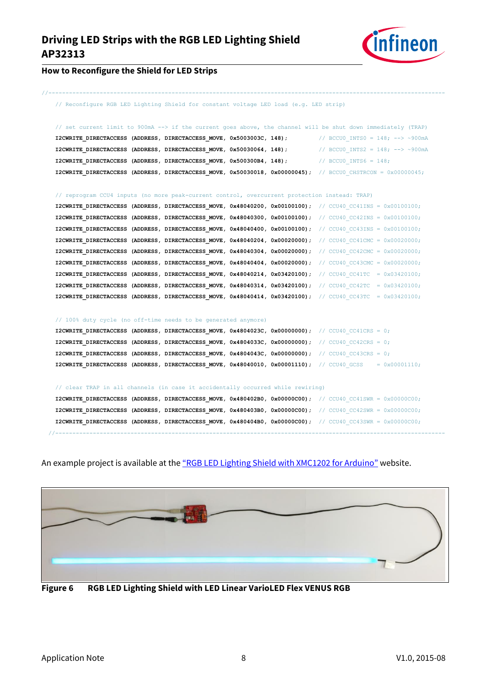

#### **How to Reconfigure the Shield for LED Strips**

// Reconfigure RGB LED Lighting Shield for constant voltage LED load (e.g. LED strip)

//--------------------------------------------------------------------------------------------------------------------

| // set current limit to 900mA --> if the current goes above, the channel will be shut down immediately (TRAP)      |                                  |
|--------------------------------------------------------------------------------------------------------------------|----------------------------------|
| I2CWRITE DIRECTACCESS (ADDRESS, DIRECTACCESS MOVE, 0x5003003C, 148); // BCCU0 INTS0 = 148; --> ~900mA              |                                  |
| I2CWRITE DIRECTACCESS (ADDRESS, DIRECTACCESS MOVE, 0x50030064, 148);                                               | // BCCU0 INTS2 = 148; --> ~900mA |
| I2CWRITE DIRECTACCESS (ADDRESS, DIRECTACCESS MOVE, 0x500300B4, 148);                                               | $\frac{1}{8}$ RCCUO INTS6 = 148; |
| <b>I2CWRITE DIRECTACCESS (ADDRESS, DIRECTACCESS MOVE, 0x50030018, 0x00000045);</b> // BCCU0 CHSTRCON = 0x00000045; |                                  |

// reprogram CCU4 inputs (no more peak-current control, overcurrent protection instead: TRAP)

| <b>I2CWRITE DIRECTACCESS (ADDRESS, DIRECTACCESS MOVE, 0x48040200, 0x00100100);</b> // CCU40 CC41INS = 0x00100100;    |  |  |  |  |
|----------------------------------------------------------------------------------------------------------------------|--|--|--|--|
| I2CWRITE DIRECTACCESS (ADDRESS, DIRECTACCESS MOVE, $0x48040300$ , $0x00100100$ ); // CCU40 CC42INS = $0x00100100$ ;  |  |  |  |  |
| <b>I2CWRITE DIRECTACCESS (ADDRESS, DIRECTACCESS MOVE, 0x48040400, 0x00100100);</b> // CCU40 CC43INS = 0x00100100;    |  |  |  |  |
| I2CWRITE DIRECTACCESS (ADDRESS, DIRECTACCESS MOVE, $0x48040204$ , $0x00020000$ ); // CCU40 CC41CMC = $0x00020000$ ;  |  |  |  |  |
| I2CWRITE DIRECTACCESS (ADDRESS, DIRECTACCESS MOVE, 0x48040304, 0x00020000); // CCU40 CC42CMC = $0 \times 00020000$ ; |  |  |  |  |
| I2CWRITE DIRECTACCESS (ADDRESS, DIRECTACCESS MOVE, $0x48040404$ , $0x00020000$ ); // CCU40 CC43CMC = $0x00020000$ ;  |  |  |  |  |
| <b>I2CWRITE DIRECTACCESS (ADDRESS, DIRECTACCESS MOVE, 0x48040214, 0x03420100);</b> // CCU40 CC41TC = 0x03420100;     |  |  |  |  |
| <b>I2CWRITE DIRECTACCESS (ADDRESS, DIRECTACCESS MOVE, 0x48040314, 0x03420100):</b> // CCU40 CC42TC = 0x03420100:     |  |  |  |  |
| <b>I2CWRITE DIRECTACCESS (ADDRESS, DIRECTACCESS MOVE, 0x48040414, 0x03420100);</b> // CCU40 CC43TC = 0x03420100;     |  |  |  |  |

#### // 100% duty cycle (no off-time needs to be generated anymore)

| <b>I2CWRITE DIRECTACCESS (ADDRESS, DIRECTACCESS MOVE, 0x4804023C, 0x00000000);</b> // CCU40 CC41CRS = 0;                 |  |  |  |  |  |
|--------------------------------------------------------------------------------------------------------------------------|--|--|--|--|--|
| <b>I2CWRITE DIRECTACCESS (ADDRESS, DIRECTACCESS MOVE, 0x4804033C, 0x00000000);</b> // CCU40 CC42CRS = 0;                 |  |  |  |  |  |
| <b>I2CWRITE DIRECTACCESS (ADDRESS, DIRECTACCESS MOVE, 0x4804043C, 0x00000000);</b> // CCU40 CC43CRS = 0;                 |  |  |  |  |  |
| <b>I2CWRITE DIRECTACCESS (ADDRESS, DIRECTACCESS MOVE, 0x48040010, 0x00001110);</b> // CCU40 GCSS = $0 \times 00001110$ ; |  |  |  |  |  |

#### // clear TRAP in all channels (in case it accidentally occurred while rewiring)

|                            |  |  | <b>I2CWRITE DIRECTACCESS (ADDRESS, DIRECTACCESS MOVE, 0x480402B0, 0x00000C00);</b> // CCU40 CC41SWR = 0x00000C00;  |
|----------------------------|--|--|--------------------------------------------------------------------------------------------------------------------|
|                            |  |  | <b>I2CWRITE DIRECTACCESS (ADDRESS, DIRECTACCESS MOVE, 0x480403B0, 0x00000C00):</b> // CCU40 CC42SWR = 0x00000C00;  |
|                            |  |  | <b>I2CWRITE DIRECTACCESS (ADDRESS, DIRECTACCESS MOVE, 0x480404B0, 0x00000C00)</b> ; // CCU40 CC43SWR = 0x00000C00; |
| -------------------------- |  |  |                                                                                                                    |

An example project is available at the ["RGB LED Lighting Shield with XMC1202 for Arduino"](http://www.infineon.com/cms/en/product/evaluation-boards/KIT_LED_XMC1202_AS_01/evaluation-boards/KIT_LED_XMC1202_AS_01/productType.html?productType=5546d4624cb7f111014d046839d66d70&preview=true) website.



**Figure 6 RGB LED Lighting Shield with LED Linear VarioLED Flex VENUS RGB**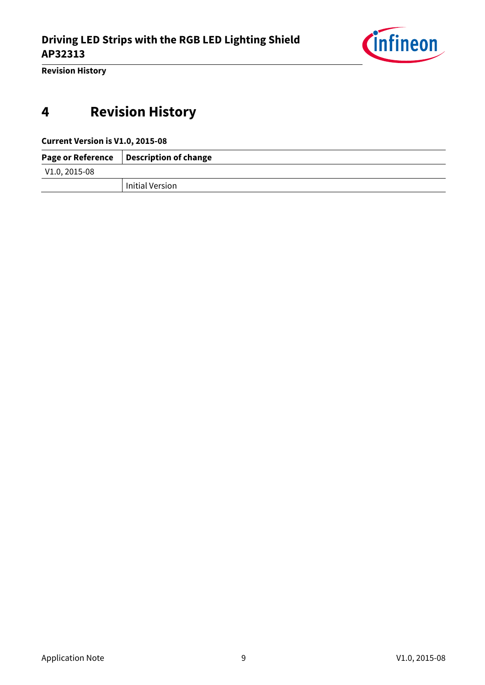

**Revision History**

## <span id="page-8-0"></span>**4 Revision History**

**Current Version is V1.0, 2015-08**

|                 | Page or Reference   Description of change |
|-----------------|-------------------------------------------|
| $V1.0, 2015-08$ |                                           |
|                 | Initial Version                           |